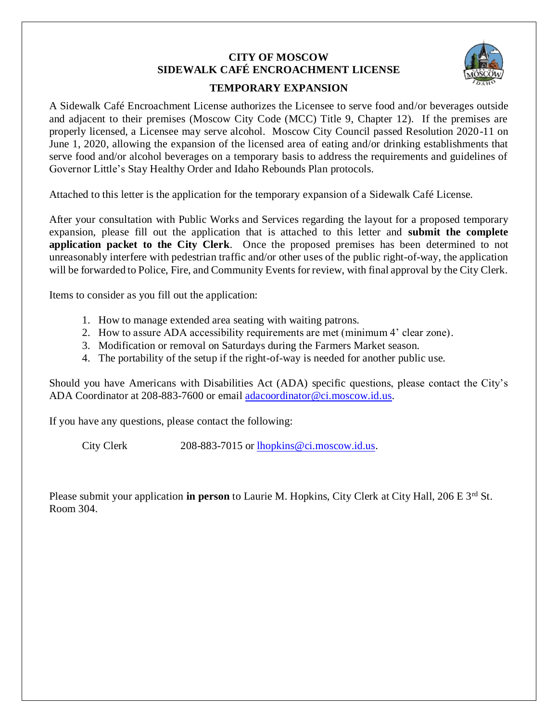# **CITY OF MOSCOW SIDEWALK CAFÉ ENCROACHMENT LICENSE**



#### **TEMPORARY EXPANSION**

A Sidewalk Café Encroachment License authorizes the Licensee to serve food and/or beverages outside and adjacent to their premises (Moscow City Code (MCC) Title 9, Chapter 12). If the premises are properly licensed, a Licensee may serve alcohol. Moscow City Council passed Resolution 2020-11 on June 1, 2020, allowing the expansion of the licensed area of eating and/or drinking establishments that serve food and/or alcohol beverages on a temporary basis to address the requirements and guidelines of Governor Little's Stay Healthy Order and Idaho Rebounds Plan protocols.

Attached to this letter is the application for the temporary expansion of a Sidewalk Café License.

After your consultation with Public Works and Services regarding the layout for a proposed temporary expansion, please fill out the application that is attached to this letter and **submit the complete application packet to the City Clerk**. Once the proposed premises has been determined to not unreasonably interfere with pedestrian traffic and/or other uses of the public right-of-way, the application will be forwarded to Police, Fire, and Community Events for review, with final approval by the City Clerk.

Items to consider as you fill out the application:

- 1. How to manage extended area seating with waiting patrons.
- 2. How to assure ADA accessibility requirements are met (minimum 4' clear zone).
- 3. Modification or removal on Saturdays during the Farmers Market season.
- 4. The portability of the setup if the right-of-way is needed for another public use.

Should you have Americans with Disabilities Act (ADA) specific questions, please contact the City's ADA Coordinator at 208-883-7600 or email [adacoordinator@ci.moscow.id.us.](mailto:adacoordinator@ci.moscow.id.us)

If you have any questions, please contact the following:

City Clerk 208-883-7015 or [lhopkins@ci.moscow.id.us.](mailto:lhopkins@ci.moscow.id.us)

Please submit your application **in person** to Laurie M. Hopkins, City Clerk at City Hall, 206 E 3<sup>rd</sup> St. Room 304.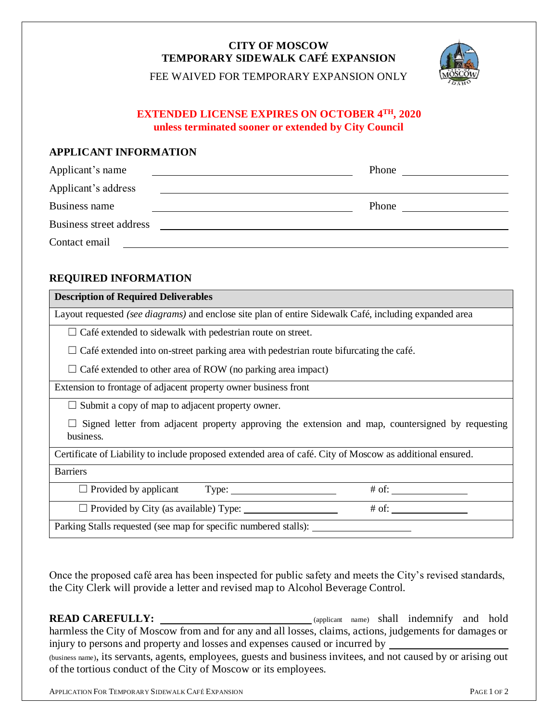## **CITY OF MOSCOW TEMPORARY SIDEWALK CAFÉ EXPANSION**

FEE WAIVED FOR TEMPORARY EXPANSION ONLY

### **EXTENDED LICENSE EXPIRES ON OCTOBER 4 TH, 2020 unless terminated sooner or extended by City Council**

## **APPLICANT INFORMATION**

| Applicant's name        | Phone |
|-------------------------|-------|
| Applicant's address     |       |
| Business name           | Phone |
| Business street address |       |
| Contact email           |       |

## **REQUIRED INFORMATION**

#### **Description of Required Deliverables**

Layout requested *(see diagrams)* and enclose site plan of entire Sidewalk Café, including expanded area

 $\Box$  Café extended to sidewalk with pedestrian route on street.

 $\Box$  Café extended into on-street parking area with pedestrian route bifurcating the café.

 $\Box$  Café extended to other area of ROW (no parking area impact)

Extension to frontage of adjacent property owner business front

 $\Box$  Submit a copy of map to adjacent property owner.

 $\Box$  Signed letter from adjacent property approving the extension and map, countersigned by requesting business.

Certificate of Liability to include proposed extended area of café. City of Moscow as additional ensured.

#### **Barriers**

 $\Box$  Provided by applicant Type:  $\Box$  # of:  $\Box$ 

☐ Provided by City (as available) Type: # of:

Parking Stalls requested (see map for specific numbered stalls): \_\_\_\_\_\_\_\_

Once the proposed café area has been inspected for public safety and meets the City's revised standards, the City Clerk will provide a letter and revised map to Alcohol Beverage Control.

**READ CAREFULLY:** (applicant name) shall indemnify and hold harmless the City of Moscow from and for any and all losses, claims, actions, judgements for damages or injury to persons and property and losses and expenses caused or incurred by (business name), its servants, agents, employees, guests and business invitees, and not caused by or arising out of the tortious conduct of the City of Moscow or its employees.

APPLICATION FOR TEMPORARY SIDEWALK CAFÉ EXPANSION PAGE 1 OF 2